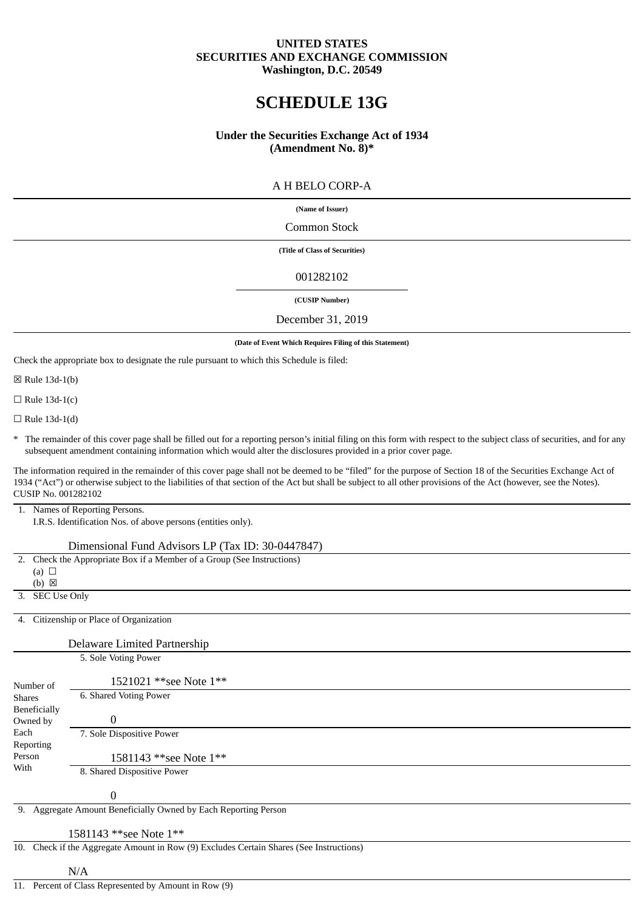# **UNITED STATES SECURITIES AND EXCHANGE COMMISSION Washington, D.C. 20549**

# **SCHEDULE 13G**

# **Under the Securities Exchange Act of 1934 (Amendment No. 8)\***

# A H BELO CORP-A

#### **(Name of Issuer)**

### Common Stock

**(Title of Class of Securities)**

### 001282102

# **(CUSIP Number)**

#### December 31, 2019

#### **(Date of Event Which Requires Filing of this Statement)**

Check the appropriate box to designate the rule pursuant to which this Schedule is filed:

☒ Rule 13d-1(b)

 $\Box$  Rule 13d-1(c)

 $\Box$  Rule 13d-1(d)

\* The remainder of this cover page shall be filled out for a reporting person's initial filing on this form with respect to the subject class of securities, and for any subsequent amendment containing information which would alter the disclosures provided in a prior cover page.

The information required in the remainder of this cover page shall not be deemed to be "filed" for the purpose of Section 18 of the Securities Exchange Act of 1934 ("Act") or otherwise subject to the liabilities of that section of the Act but shall be subject to all other provisions of the Act (however, see the Notes). CUSIP No. 001282102

1. Names of Reporting Persons.

I.R.S. Identification Nos. of above persons (entities only).

#### Dimensional Fund Advisors LP (Tax ID: 30-0447847)

 2. Check the Appropriate Box if a Member of a Group (See Instructions) (a)  $\Box$  $(b) \boxtimes$  3. SEC Use Only 4. Citizenship or Place of Organization Delaware Limited Partnership Number of Shares Beneficially Owned by Each Reporting Person With 5. Sole Voting Power 1521021 \*\*see Note 1\*\* 6. Shared Voting Power 0 7. Sole Dispositive Power 1581143 \*\*see Note 1\*\* 8. Shared Dispositive Power 0 9. Aggregate Amount Beneficially Owned by Each Reporting Person 1581143 \*\*see Note 1\*\*

10. Check if the Aggregate Amount in Row (9) Excludes Certain Shares (See Instructions)

#### N/A

11. Percent of Class Represented by Amount in Row (9)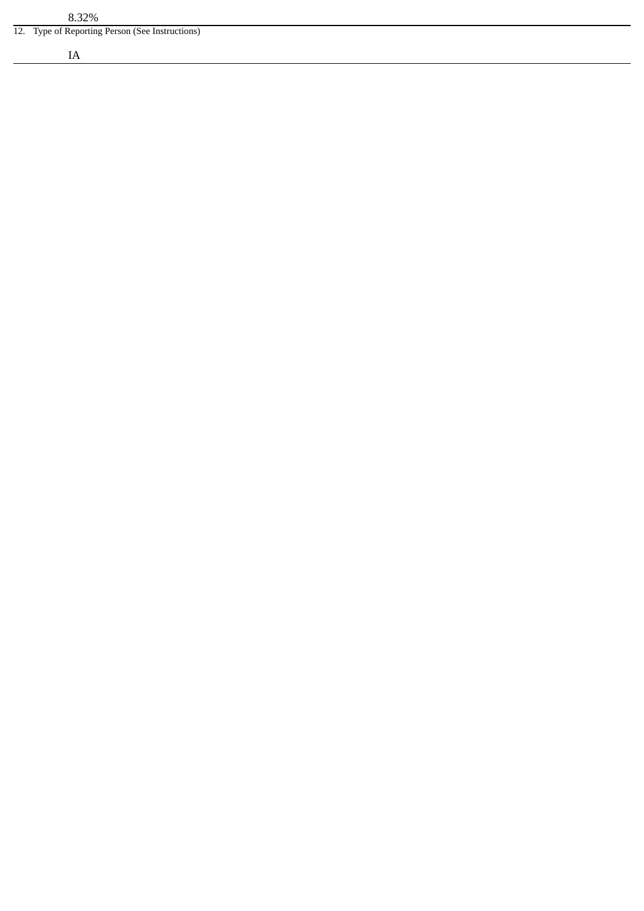12. Type of Reporting Person (See Instructions)

IA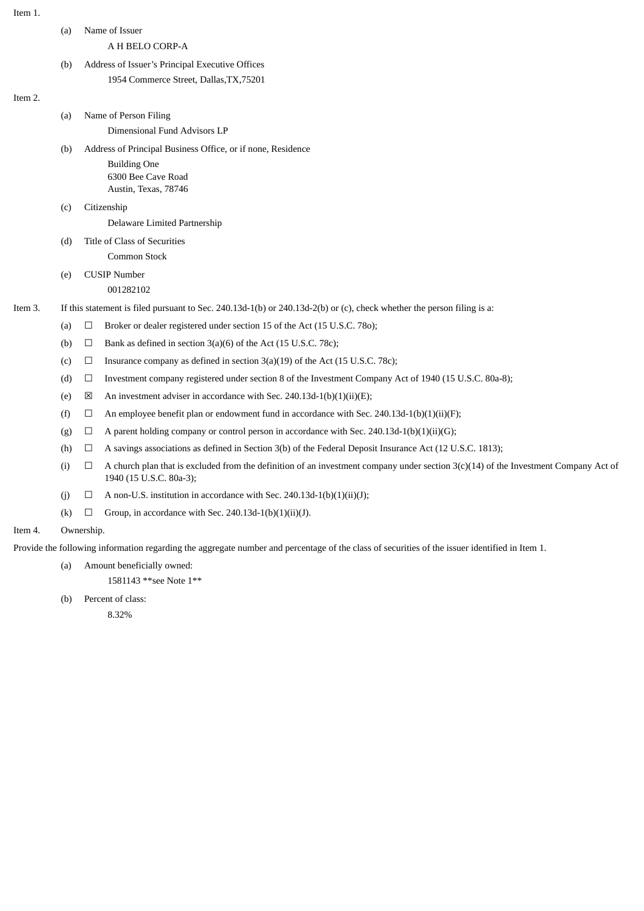| ρm<br>ΙT |  |
|----------|--|

| Item 1. |     |                                                                                                                                                                            |  |
|---------|-----|----------------------------------------------------------------------------------------------------------------------------------------------------------------------------|--|
|         | (a) | Name of Issuer                                                                                                                                                             |  |
|         |     | A H BELO CORP-A                                                                                                                                                            |  |
|         | (b) | Address of Issuer's Principal Executive Offices                                                                                                                            |  |
|         |     | 1954 Commerce Street, Dallas, TX, 75201                                                                                                                                    |  |
| Item 2. |     |                                                                                                                                                                            |  |
|         | (a) | Name of Person Filing                                                                                                                                                      |  |
|         |     | Dimensional Fund Advisors LP                                                                                                                                               |  |
|         | (b) | Address of Principal Business Office, or if none, Residence                                                                                                                |  |
|         |     | <b>Building One</b><br>6300 Bee Cave Road                                                                                                                                  |  |
|         |     | Austin, Texas, 78746                                                                                                                                                       |  |
|         | (C) | Citizenship                                                                                                                                                                |  |
|         |     | Delaware Limited Partnership                                                                                                                                               |  |
|         | (d) | Title of Class of Securities                                                                                                                                               |  |
|         |     | Common Stock                                                                                                                                                               |  |
|         | (e) | <b>CUSIP Number</b>                                                                                                                                                        |  |
|         |     | 001282102                                                                                                                                                                  |  |
| Item 3. |     | If this statement is filed pursuant to Sec. 240.13d-1(b) or 240.13d-2(b) or (c), check whether the person filing is a:                                                     |  |
|         | (a) | Broker or dealer registered under section 15 of the Act (15 U.S.C. 780);<br>$\Box$                                                                                         |  |
|         | (b) | Bank as defined in section 3(a)(6) of the Act (15 U.S.C. 78c);<br>$\Box$                                                                                                   |  |
|         | (c) | Insurance company as defined in section $3(a)(19)$ of the Act (15 U.S.C. 78c);<br>$\Box$                                                                                   |  |
|         | (d) | Investment company registered under section 8 of the Investment Company Act of 1940 (15 U.S.C. 80a-8);<br>$\Box$                                                           |  |
|         | (e) | $\boxtimes$<br>An investment adviser in accordance with Sec. 240.13d-1(b)(1)(ii)(E);                                                                                       |  |
|         | (f) | An employee benefit plan or endowment fund in accordance with Sec. 240.13d-1(b)(1)(ii)(F);<br>Ц                                                                            |  |
|         | (g) | A parent holding company or control person in accordance with Sec. 240.13d-1(b)(1)(ii)(G);<br>$\Box$                                                                       |  |
|         | (h) | A savings associations as defined in Section 3(b) of the Federal Deposit Insurance Act (12 U.S.C. 1813);<br>$\Box$                                                         |  |
|         | (i) | A church plan that is excluded from the definition of an investment company under section $3(c)(14)$ of the Investment Company Act of<br>$\Box$<br>1940 (15 U.S.C. 80a-3); |  |
|         | (j) | A non-U.S. institution in accordance with Sec. 240.13d-1(b)(1)(ii)(J);<br>$\Box$                                                                                           |  |
|         | (k) | Group, in accordance with Sec. 240.13d-1(b)(1)(ii)(J).<br>$\Box$                                                                                                           |  |
| Item 4. |     | Ownership.                                                                                                                                                                 |  |
|         |     | Provide the following information regarding the aggregate number and percentage of the class of securities of the issuer identified in Item 1.                             |  |
|         | (a) | Amount beneficially owned:                                                                                                                                                 |  |

1581143 \*\*see Note 1\*\*

(b) Percent of class:

8.32%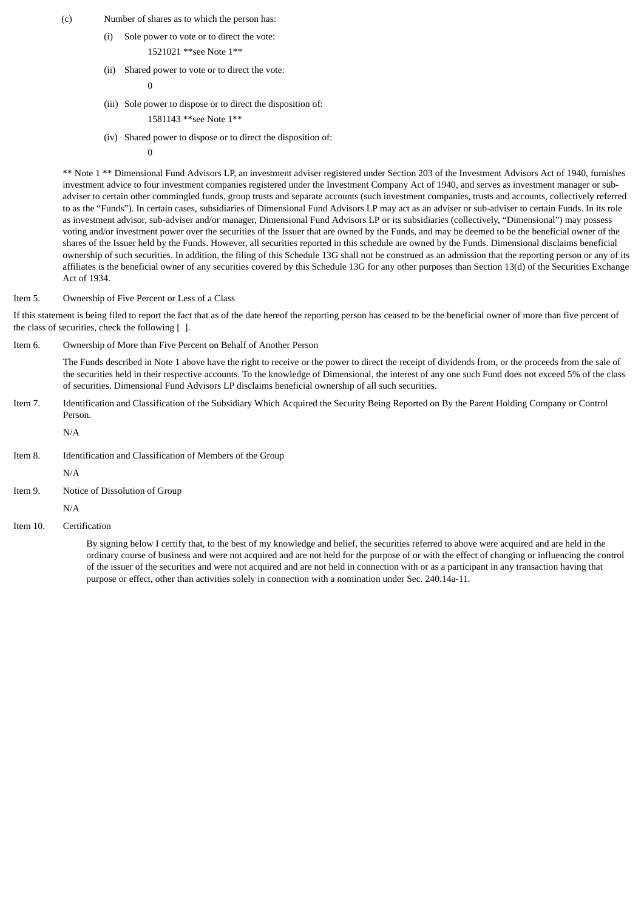- (c) Number of shares as to which the person has:
	- (i) Sole power to vote or to direct the vote:

1521021 \*\*see Note 1\*\*

(ii) Shared power to vote or to direct the vote:

```
\Omega
```
- (iii) Sole power to dispose or to direct the disposition of:
	- 1581143 \*\*see Note 1\*\*
- (iv) Shared power to dispose or to direct the disposition of:

 $\theta$ 

\*\* Note 1 \*\* Dimensional Fund Advisors LP, an investment adviser registered under Section 203 of the Investment Advisors Act of 1940, furnishes investment advice to four investment companies registered under the Investment Company Act of 1940, and serves as investment manager or subadviser to certain other commingled funds, group trusts and separate accounts (such investment companies, trusts and accounts, collectively referred to as the "Funds"). In certain cases, subsidiaries of Dimensional Fund Advisors LP may act as an adviser or sub-adviser to certain Funds. In its role as investment advisor, sub-adviser and/or manager, Dimensional Fund Advisors LP or its subsidiaries (collectively, "Dimensional") may possess voting and/or investment power over the securities of the Issuer that are owned by the Funds, and may be deemed to be the beneficial owner of the shares of the Issuer held by the Funds. However, all securities reported in this schedule are owned by the Funds. Dimensional disclaims beneficial ownership of such securities. In addition, the filing of this Schedule 13G shall not be construed as an admission that the reporting person or any of its affiliates is the beneficial owner of any securities covered by this Schedule 13G for any other purposes than Section 13(d) of the Securities Exchange Act of 1934.

Item 5. Ownership of Five Percent or Less of a Class

If this statement is being filed to report the fact that as of the date hereof the reporting person has ceased to be the beneficial owner of more than five percent of the class of securities, check the following [1].

Item 6. Ownership of More than Five Percent on Behalf of Another Person

The Funds described in Note 1 above have the right to receive or the power to direct the receipt of dividends from, or the proceeds from the sale of the securities held in their respective accounts. To the knowledge of Dimensional, the interest of any one such Fund does not exceed 5% of the class of securities. Dimensional Fund Advisors LP disclaims beneficial ownership of all such securities.

Item 7. Identification and Classification of the Subsidiary Which Acquired the Security Being Reported on By the Parent Holding Company or Control Person.

 N/A Item 8. Identification and Classification of Members of the Group N/A Item 9. Notice of Dissolution of Group  $N/\Delta$ 

Item 10. Certification

By signing below I certify that, to the best of my knowledge and belief, the securities referred to above were acquired and are held in the ordinary course of business and were not acquired and are not held for the purpose of or with the effect of changing or influencing the control of the issuer of the securities and were not acquired and are not held in connection with or as a participant in any transaction having that purpose or effect, other than activities solely in connection with a nomination under Sec. 240.14a-11.